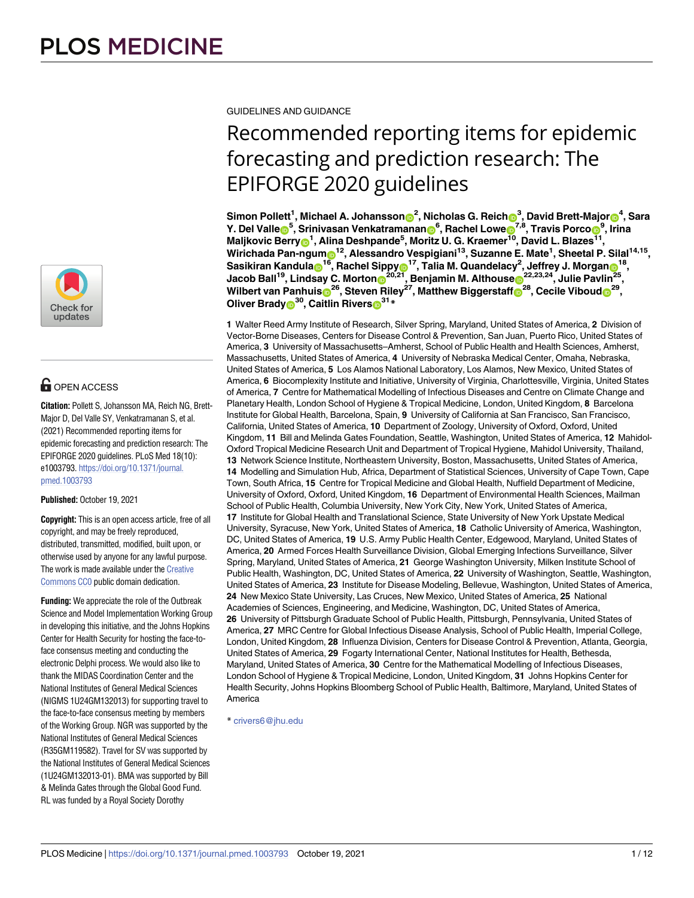

## **G** OPEN ACCESS

**Citation:** Pollett S, Johansson MA, Reich NG, Brett-Major D, Del Valle SY, Venkatramanan S, et al. (2021) Recommended reporting items for epidemic forecasting and prediction research: The EPIFORGE 2020 guidelines. PLoS Med 18(10): e1003793. [https://doi.org/10.1371/journal.](https://doi.org/10.1371/journal.pmed.1003793) [pmed.1003793](https://doi.org/10.1371/journal.pmed.1003793)

**Published:** October 19, 2021

**Copyright:** This is an open access article, free of all copyright, and may be freely reproduced, distributed, transmitted, modified, built upon, or otherwise used by anyone for any lawful purpose. The work is made available under the [Creative](https://creativecommons.org/publicdomain/zero/1.0/) [Commons](https://creativecommons.org/publicdomain/zero/1.0/) CC0 public domain dedication.

**Funding:** We appreciate the role of the Outbreak Science and Model Implementation Working Group in developing this initiative, and the Johns Hopkins Center for Health Security for hosting the face-toface consensus meeting and conducting the electronic Delphi process. We would also like to thank the MIDAS Coordination Center and the National Institutes of General Medical Sciences (NIGMS 1U24GM132013) for supporting travel to the face-to-face consensus meeting by members of the Working Group. NGR was supported by the National Institutes of General Medical Sciences (R35GM119582). Travel for SV was supported by the National Institutes of General Medical Sciences (1U24GM132013-01). BMA was supported by Bill & Melinda Gates through the Global Good Fund. RL was funded by a Royal Society Dorothy

GUIDELINES AND GUIDANCE

# Recommended reporting items for epidemic forecasting and prediction research: The EPIFORGE 2020 guidelines

Simon Pollett<sup>1</sup>, Michael A. Johansson⋒<sup>2</sup>, Nicholas G. Reich⋒<sup>3</sup>, David Brett-Major⋒<sup>4</sup>, Sara  $\mathbf{Y}$ . Del Valle $\mathbf{D}^5$ , Srinivasan Venkatramanan $\mathbf{D}^6$ , Rachel Lowe $\mathbf{D}^{7,8}$ , Travis Porco $\mathbf{D}^9$ , Irina  $\blacksquare$ Maljkovic Berry $\blacksquare^1$ , Alina Deshpande<sup>5</sup>, Moritz U. G. Kraemer $^{\bar{10}}$ , David L. Blazes $^{\bar{11}},$  $W$ irichada Pan-ngum $\bigcirc$ 12, Alessandro Vespigiani<sup>13</sup>, Suzanne E. Mate<sup>1</sup>, Sheetal P. Silal<sup>14,15</sup>,  $\,$  Sasikiran Kandula $\,$   $\,^{16}$ , Rachel Sippy $\,$   $\,$   $\,^{17}$ , Talia M. Quandelacy<sup>2</sup>, Jeffrey J. Morgan $\,$   $\,^{18}$ ,  $\rho^{22,23,24}$ , Lindsay C. Morton $\mathbf{D}^{20,21}$ , Benjamin M. Althouse $\mathbf{D}^{22,23,24}$ , Julie Pavlin $^{25},$  $\blacksquare$ Wilbert van Panhuis $\blacksquare^{26}$ , Steven Riley $^{27}$ , Matthew Biggerstaff $\blacksquare^{28}$ , Cecile Viboud $\blacksquare^{29}$ , **Oliver Brady<sup>30</sup>, Caitlin Rivers<sup>31</sup>**\*

**1** Walter Reed Army Institute of Research, Silver Spring, Maryland, United States of America, **2** Division of Vector-Borne Diseases, Centers for Disease Control & Prevention, San Juan, Puerto Rico, United States of America, **3** University of Massachusetts–Amherst, School of Public Health and Health Sciences, Amherst, Massachusetts, United States of America, **4** University of Nebraska Medical Center, Omaha, Nebraska, United States of America, **5** Los Alamos National Laboratory, Los Alamos, New Mexico, United States of America, **6** Biocomplexity Institute and Initiative, University of Virginia, Charlottesville, Virginia, United States of America, **7** Centre for Mathematical Modelling of Infectious Diseases and Centre on Climate Change and Planetary Health, London School of Hygiene & Tropical Medicine, London, United Kingdom, **8** Barcelona Institute for Global Health, Barcelona, Spain, **9** University of California at San Francisco, San Francisco, California, United States of America, **10** Department of Zoology, University of Oxford, Oxford, United Kingdom, **11** Bill and Melinda Gates Foundation, Seattle, Washington, United States of America, **12** Mahidol-Oxford Tropical Medicine Research Unit and Department of Tropical Hygiene, Mahidol University, Thailand, **13** Network Science Institute, Northeastern University, Boston, Massachusetts, United States of America, **14** Modelling and Simulation Hub, Africa, Department of Statistical Sciences, University of Cape Town, Cape Town, South Africa, **15** Centre for Tropical Medicine and Global Health, Nuffield Department of Medicine, University of Oxford, Oxford, United Kingdom, **16** Department of Environmental Health Sciences, Mailman School of Public Health, Columbia University, New York City, New York, United States of America, **17** Institute for Global Health and Translational Science, State University of New York Upstate Medical University, Syracuse, New York, United States of America, **18** Catholic University of America, Washington, DC, United States of America, **19** U.S. Army Public Health Center, Edgewood, Maryland, United States of America, **20** Armed Forces Health Surveillance Division, Global Emerging Infections Surveillance, Silver Spring, Maryland, United States of America, **21** George Washington University, Milken Institute School of Public Health, Washington, DC, United States of America, **22** University of Washington, Seattle, Washington, United States of America, **23** Institute for Disease Modeling, Bellevue, Washington, United States of America, **24** New Mexico State University, Las Cruces, New Mexico, United States of America, **25** National Academies of Sciences, Engineering, and Medicine, Washington, DC, United States of America, **26** University of Pittsburgh Graduate School of Public Health, Pittsburgh, Pennsylvania, United States of America, **27** MRC Centre for Global Infectious Disease Analysis, School of Public Health, Imperial College, London, United Kingdom, **28** Influenza Division, Centers for Disease Control & Prevention, Atlanta, Georgia, United States of America, **29** Fogarty International Center, National Institutes for Health, Bethesda, Maryland, United States of America, **30** Centre for the Mathematical Modelling of Infectious Diseases, London School of Hygiene & Tropical Medicine, London, United Kingdom, **31** Johns Hopkins Center for Health Security, Johns Hopkins Bloomberg School of Public Health, Baltimore, Maryland, United States of America

\* crivers6@jhu.edu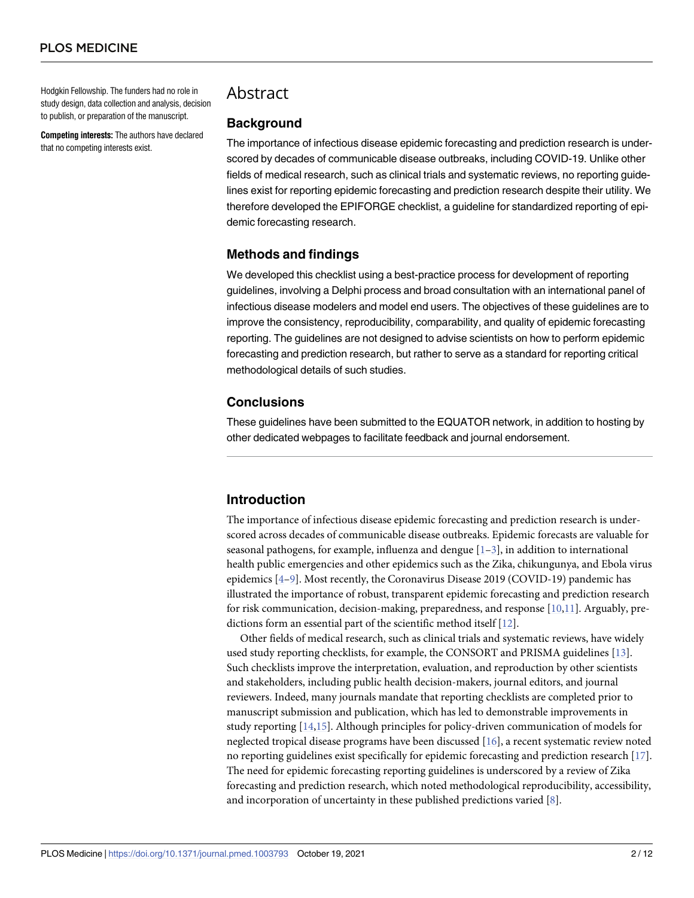<span id="page-1-0"></span>Hodgkin Fellowship. The funders had no role in study design, data collection and analysis, decision to publish, or preparation of the manuscript.

**Competing interests:** The authors have declared that no competing interests exist.

## Abstract

#### **Background**

The importance of infectious disease epidemic forecasting and prediction research is underscored by decades of communicable disease outbreaks, including COVID-19. Unlike other fields of medical research, such as clinical trials and systematic reviews, no reporting guidelines exist for reporting epidemic forecasting and prediction research despite their utility. We therefore developed the EPIFORGE checklist, a guideline for standardized reporting of epidemic forecasting research.

## **Methods and findings**

We developed this checklist using a best-practice process for development of reporting guidelines, involving a Delphi process and broad consultation with an international panel of infectious disease modelers and model end users. The objectives of these guidelines are to improve the consistency, reproducibility, comparability, and quality of epidemic forecasting reporting. The guidelines are not designed to advise scientists on how to perform epidemic forecasting and prediction research, but rather to serve as a standard for reporting critical methodological details of such studies.

## **Conclusions**

These guidelines have been submitted to the EQUATOR network, in addition to hosting by other dedicated webpages to facilitate feedback and journal endorsement.

## **Introduction**

The importance of infectious disease epidemic forecasting and prediction research is underscored across decades of communicable disease outbreaks. Epidemic forecasts are valuable for seasonal pathogens, for example, influenza and dengue  $[1-3]$ , in addition to international health public emergencies and other epidemics such as the Zika, chikungunya, and Ebola virus epidemics [[4–9\]](#page-9-0). Most recently, the Coronavirus Disease 2019 (COVID-19) pandemic has illustrated the importance of robust, transparent epidemic forecasting and prediction research for risk communication, decision-making, preparedness, and response [\[10,11](#page-9-0)]. Arguably, predictions form an essential part of the scientific method itself [[12](#page-9-0)].

Other fields of medical research, such as clinical trials and systematic reviews, have widely used study reporting checklists, for example, the CONSORT and PRISMA guidelines [\[13\]](#page-9-0). Such checklists improve the interpretation, evaluation, and reproduction by other scientists and stakeholders, including public health decision-makers, journal editors, and journal reviewers. Indeed, many journals mandate that reporting checklists are completed prior to manuscript submission and publication, which has led to demonstrable improvements in study reporting [\[14,15](#page-9-0)]. Although principles for policy-driven communication of models for neglected tropical disease programs have been discussed [[16](#page-10-0)], a recent systematic review noted no reporting guidelines exist specifically for epidemic forecasting and prediction research [\[17\]](#page-10-0). The need for epidemic forecasting reporting guidelines is underscored by a review of Zika forecasting and prediction research, which noted methodological reproducibility, accessibility, and incorporation of uncertainty in these published predictions varied [\[8](#page-9-0)].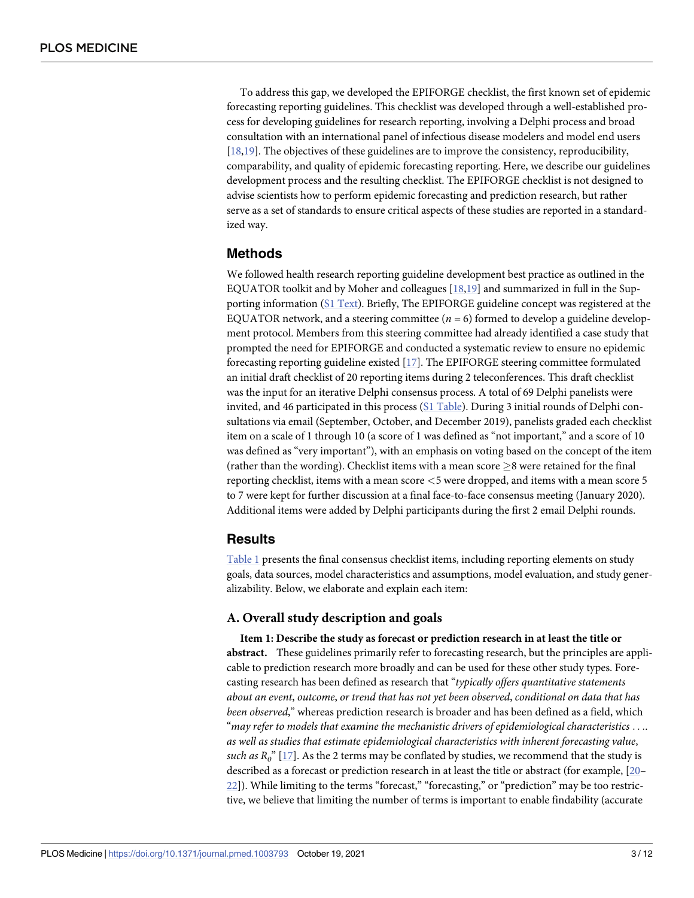<span id="page-2-0"></span>To address this gap, we developed the EPIFORGE checklist, the first known set of epidemic forecasting reporting guidelines. This checklist was developed through a well-established process for developing guidelines for research reporting, involving a Delphi process and broad consultation with an international panel of infectious disease modelers and model end users [\[18,19\]](#page-10-0). The objectives of these guidelines are to improve the consistency, reproducibility, comparability, and quality of epidemic forecasting reporting. Here, we describe our guidelines development process and the resulting checklist. The EPIFORGE checklist is not designed to advise scientists how to perform epidemic forecasting and prediction research, but rather serve as a set of standards to ensure critical aspects of these studies are reported in a standardized way.

#### **Methods**

We followed health research reporting guideline development best practice as outlined in the EQUATOR toolkit and by Moher and colleagues [[18](#page-10-0),[19](#page-10-0)] and summarized in full in the Supporting information (S1 [Text\)](#page-8-0). Briefly, The EPIFORGE guideline concept was registered at the EQUATOR network, and a steering committee ( $n = 6$ ) formed to develop a guideline development protocol. Members from this steering committee had already identified a case study that prompted the need for EPIFORGE and conducted a systematic review to ensure no epidemic forecasting reporting guideline existed [\[17\]](#page-10-0). The EPIFORGE steering committee formulated an initial draft checklist of 20 reporting items during 2 teleconferences. This draft checklist was the input for an iterative Delphi consensus process. A total of 69 Delphi panelists were invited, and 46 participated in this process (S1 [Table\)](#page-8-0). During 3 initial rounds of Delphi consultations via email (September, October, and December 2019), panelists graded each checklist item on a scale of 1 through 10 (a score of 1 was defined as "not important," and a score of 10 was defined as "very important"), with an emphasis on voting based on the concept of the item (rather than the wording). Checklist items with a mean score  $\geq$ 8 were retained for the final reporting checklist, items with a mean score *<*5 were dropped, and items with a mean score 5 to 7 were kept for further discussion at a final face-to-face consensus meeting (January 2020). Additional items were added by Delphi participants during the first 2 email Delphi rounds.

#### **Results**

[Table](#page-3-0) 1 presents the final consensus checklist items, including reporting elements on study goals, data sources, model characteristics and assumptions, model evaluation, and study generalizability. Below, we elaborate and explain each item:

#### **A. Overall study description and goals**

**Item 1: Describe the study as forecast or prediction research in at least the title or abstract.** These guidelines primarily refer to forecasting research, but the principles are applicable to prediction research more broadly and can be used for these other study types. Forecasting research has been defined as research that "*typically offers quantitative statements about an event*, *outcome*, *or trend that has not yet been observed*, *conditional on data that has been observed*," whereas prediction research is broader and has been defined as a field, which "*may refer to models that examine the mechanistic drivers of epidemiological characteristics* . . .. *as well as studies that estimate epidemiological characteristics with inherent forecasting value*, *such as*  $R_0$ " [\[17\]](#page-10-0). As the 2 terms may be conflated by studies, we recommend that the study is described as a forecast or prediction research in at least the title or abstract (for example, [[20](#page-10-0)– [22\]](#page-10-0)). While limiting to the terms "forecast," "forecasting," or "prediction" may be too restrictive, we believe that limiting the number of terms is important to enable findability (accurate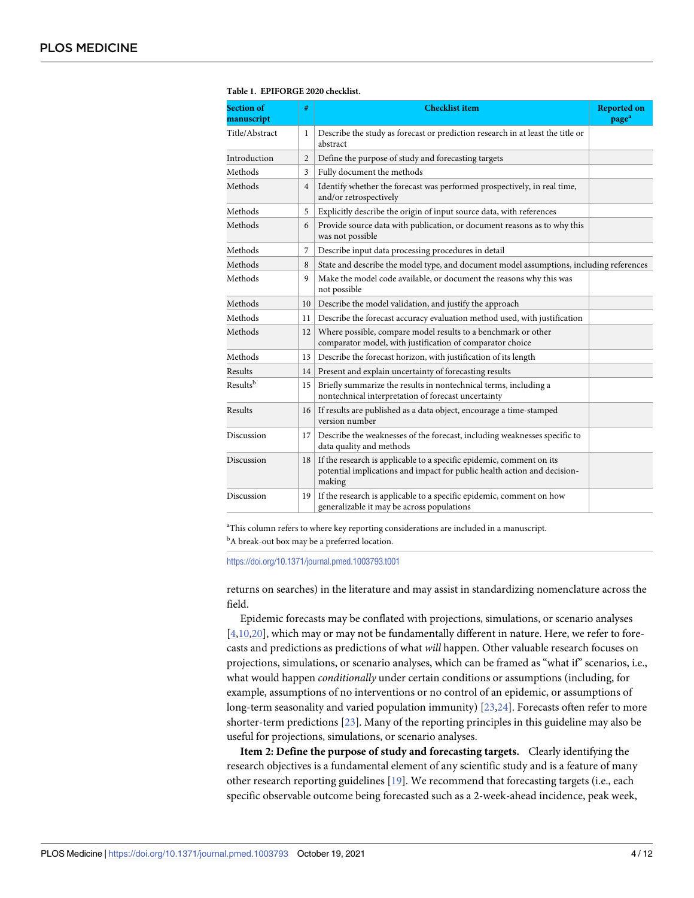| <b>Section of</b><br>manuscript | #              | <b>Checklist item</b>                                                                                                                                      | <b>Reported on</b><br>page <sup>a</sup> |
|---------------------------------|----------------|------------------------------------------------------------------------------------------------------------------------------------------------------------|-----------------------------------------|
| Title/Abstract                  | 1              | Describe the study as forecast or prediction research in at least the title or<br>abstract                                                                 |                                         |
| Introduction                    | $\overline{2}$ | Define the purpose of study and forecasting targets                                                                                                        |                                         |
| Methods                         | 3              | Fully document the methods                                                                                                                                 |                                         |
| Methods                         | $\overline{4}$ | Identify whether the forecast was performed prospectively, in real time,<br>and/or retrospectively                                                         |                                         |
| Methods                         | 5              | Explicitly describe the origin of input source data, with references                                                                                       |                                         |
| Methods                         | 6              | Provide source data with publication, or document reasons as to why this<br>was not possible                                                               |                                         |
| Methods                         | 7              | Describe input data processing procedures in detail                                                                                                        |                                         |
| Methods                         | 8              | State and describe the model type, and document model assumptions, including references                                                                    |                                         |
| Methods                         | 9              | Make the model code available, or document the reasons why this was<br>not possible                                                                        |                                         |
| Methods                         | 10             | Describe the model validation, and justify the approach                                                                                                    |                                         |
| Methods                         | 11             | Describe the forecast accuracy evaluation method used, with justification                                                                                  |                                         |
| Methods                         | 12             | Where possible, compare model results to a benchmark or other<br>comparator model, with justification of comparator choice                                 |                                         |
| Methods                         | 13             | Describe the forecast horizon, with justification of its length                                                                                            |                                         |
| Results                         | 14             | Present and explain uncertainty of forecasting results                                                                                                     |                                         |
| Results <sup>b</sup>            | 15             | Briefly summarize the results in nontechnical terms, including a<br>nontechnical interpretation of forecast uncertainty                                    |                                         |
| Results                         | 16             | If results are published as a data object, encourage a time-stamped<br>version number                                                                      |                                         |
| Discussion                      | 17             | Describe the weaknesses of the forecast, including weaknesses specific to<br>data quality and methods                                                      |                                         |
| Discussion                      | 18             | If the research is applicable to a specific epidemic, comment on its<br>potential implications and impact for public health action and decision-<br>making |                                         |
| Discussion                      | 19             | If the research is applicable to a specific epidemic, comment on how<br>generalizable it may be across populations                                         |                                         |

<span id="page-3-0"></span>**[Table](#page-2-0) 1. EPIFORGE 2020 checklist.**

<sup>a</sup>This column refers to where key reporting considerations are included in a manuscript.

<sup>b</sup>A break-out box may be a preferred location.

<https://doi.org/10.1371/journal.pmed.1003793.t001>

returns on searches) in the literature and may assist in standardizing nomenclature across the field.

Epidemic forecasts may be conflated with projections, simulations, or scenario analyses [\[4,10](#page-9-0)[,20\]](#page-10-0), which may or may not be fundamentally different in nature. Here, we refer to forecasts and predictions as predictions of what *will* happen. Other valuable research focuses on projections, simulations, or scenario analyses, which can be framed as "what if" scenarios, i.e., what would happen *conditionally* under certain conditions or assumptions (including, for example, assumptions of no interventions or no control of an epidemic, or assumptions of long-term seasonality and varied population immunity) [\[23,24\]](#page-10-0). Forecasts often refer to more shorter-term predictions [\[23\]](#page-10-0). Many of the reporting principles in this guideline may also be useful for projections, simulations, or scenario analyses.

**Item 2: Define the purpose of study and forecasting targets.** Clearly identifying the research objectives is a fundamental element of any scientific study and is a feature of many other research reporting guidelines [\[19\]](#page-10-0). We recommend that forecasting targets (i.e., each specific observable outcome being forecasted such as a 2-week-ahead incidence, peak week,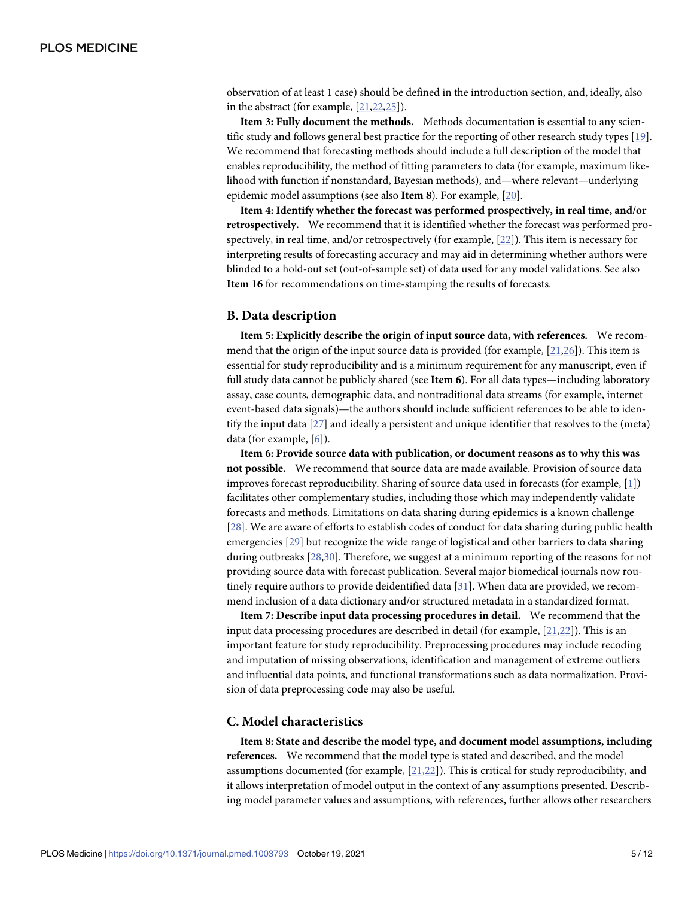<span id="page-4-0"></span>observation of at least 1 case) should be defined in the introduction section, and, ideally, also in the abstract (for example, [[21](#page-10-0),[22,25\]](#page-10-0)).

**Item 3: Fully document the methods.** Methods documentation is essential to any scien-tific study and follows general best practice for the reporting of other research study types [\[19\]](#page-10-0). We recommend that forecasting methods should include a full description of the model that enables reproducibility, the method of fitting parameters to data (for example, maximum likelihood with function if nonstandard, Bayesian methods), and—where relevant—underlying epidemic model assumptions (see also **Item 8**). For example, [\[20\]](#page-10-0).

**Item 4: Identify whether the forecast was performed prospectively, in real time, and/or retrospectively.** We recommend that it is identified whether the forecast was performed prospectively, in real time, and/or retrospectively (for example, [\[22\]](#page-10-0)). This item is necessary for interpreting results of forecasting accuracy and may aid in determining whether authors were blinded to a hold-out set (out-of-sample set) of data used for any model validations. See also **Item 16** for recommendations on time-stamping the results of forecasts.

#### **B. Data description**

**Item 5: Explicitly describe the origin of input source data, with references.** We recommend that the origin of the input source data is provided (for example,  $[21,26]$  $[21,26]$ ). This item is essential for study reproducibility and is a minimum requirement for any manuscript, even if full study data cannot be publicly shared (see **Item 6**). For all data types—including laboratory assay, case counts, demographic data, and nontraditional data streams (for example, internet event-based data signals)—the authors should include sufficient references to be able to identify the input data [\[27\]](#page-10-0) and ideally a persistent and unique identifier that resolves to the (meta) data (for example, [[6](#page-9-0)]).

**Item 6: Provide source data with publication, or document reasons as to why this was not possible.** We recommend that source data are made available. Provision of source data improves forecast reproducibility. Sharing of source data used in forecasts (for example, [[1\]](#page-9-0)) facilitates other complementary studies, including those which may independently validate forecasts and methods. Limitations on data sharing during epidemics is a known challenge [\[28\]](#page-10-0). We are aware of efforts to establish codes of conduct for data sharing during public health emergencies [\[29\]](#page-10-0) but recognize the wide range of logistical and other barriers to data sharing during outbreaks [\[28,30](#page-10-0)]. Therefore, we suggest at a minimum reporting of the reasons for not providing source data with forecast publication. Several major biomedical journals now routinely require authors to provide deidentified data [[31](#page-10-0)]. When data are provided, we recommend inclusion of a data dictionary and/or structured metadata in a standardized format.

**Item 7: Describe input data processing procedures in detail.** We recommend that the input data processing procedures are described in detail (for example, [\[21,22\]](#page-10-0)). This is an important feature for study reproducibility. Preprocessing procedures may include recoding and imputation of missing observations, identification and management of extreme outliers and influential data points, and functional transformations such as data normalization. Provision of data preprocessing code may also be useful.

#### **C. Model characteristics**

**Item 8: State and describe the model type, and document model assumptions, including references.** We recommend that the model type is stated and described, and the model assumptions documented (for example, [\[21,22](#page-10-0)]). This is critical for study reproducibility, and it allows interpretation of model output in the context of any assumptions presented. Describing model parameter values and assumptions, with references, further allows other researchers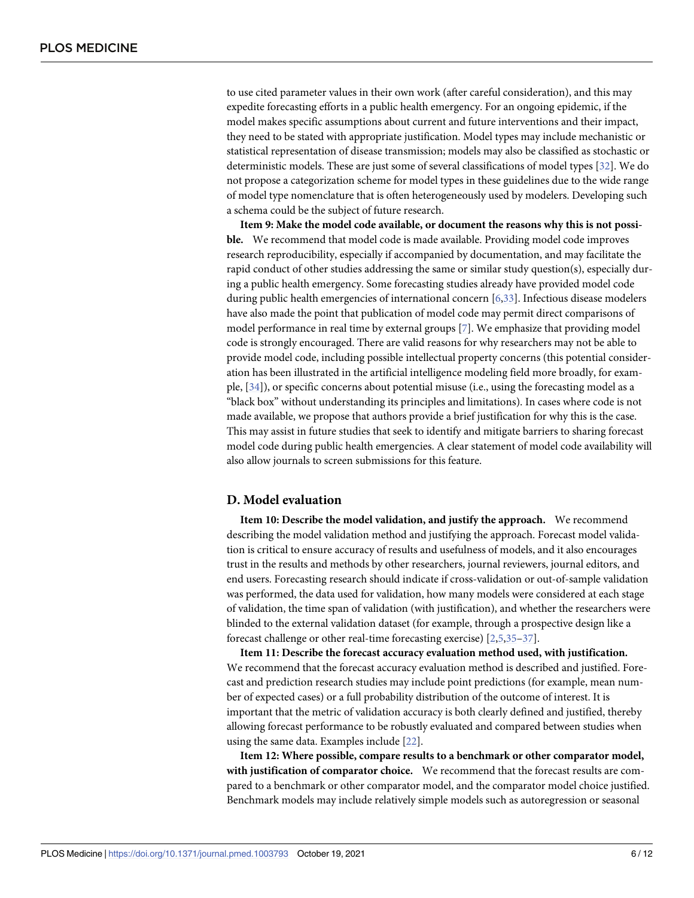<span id="page-5-0"></span>to use cited parameter values in their own work (after careful consideration), and this may expedite forecasting efforts in a public health emergency. For an ongoing epidemic, if the model makes specific assumptions about current and future interventions and their impact, they need to be stated with appropriate justification. Model types may include mechanistic or statistical representation of disease transmission; models may also be classified as stochastic or deterministic models. These are just some of several classifications of model types [[32](#page-10-0)]. We do not propose a categorization scheme for model types in these guidelines due to the wide range of model type nomenclature that is often heterogeneously used by modelers. Developing such a schema could be the subject of future research.

**Item 9: Make the model code available, or document the reasons why this is not possible.** We recommend that model code is made available. Providing model code improves research reproducibility, especially if accompanied by documentation, and may facilitate the rapid conduct of other studies addressing the same or similar study question(s), especially during a public health emergency. Some forecasting studies already have provided model code during public health emergencies of international concern [\[6](#page-9-0)[,33\]](#page-10-0). Infectious disease modelers have also made the point that publication of model code may permit direct comparisons of model performance in real time by external groups [[7](#page-9-0)]. We emphasize that providing model code is strongly encouraged. There are valid reasons for why researchers may not be able to provide model code, including possible intellectual property concerns (this potential consideration has been illustrated in the artificial intelligence modeling field more broadly, for example, [[34](#page-10-0)]), or specific concerns about potential misuse (i.e., using the forecasting model as a "black box" without understanding its principles and limitations). In cases where code is not made available, we propose that authors provide a brief justification for why this is the case. This may assist in future studies that seek to identify and mitigate barriers to sharing forecast model code during public health emergencies. A clear statement of model code availability will also allow journals to screen submissions for this feature.

#### **D. Model evaluation**

**Item 10: Describe the model validation, and justify the approach.** We recommend describing the model validation method and justifying the approach. Forecast model validation is critical to ensure accuracy of results and usefulness of models, and it also encourages trust in the results and methods by other researchers, journal reviewers, journal editors, and end users. Forecasting research should indicate if cross-validation or out-of-sample validation was performed, the data used for validation, how many models were considered at each stage of validation, the time span of validation (with justification), and whether the researchers were blinded to the external validation dataset (for example, through a prospective design like a forecast challenge or other real-time forecasting exercise) [[2](#page-9-0),[5](#page-9-0),[35](#page-10-0)[–37\]](#page-11-0).

**Item 11: Describe the forecast accuracy evaluation method used, with justification.** We recommend that the forecast accuracy evaluation method is described and justified. Forecast and prediction research studies may include point predictions (for example, mean number of expected cases) or a full probability distribution of the outcome of interest. It is important that the metric of validation accuracy is both clearly defined and justified, thereby allowing forecast performance to be robustly evaluated and compared between studies when using the same data. Examples include [\[22\]](#page-10-0).

**Item 12: Where possible, compare results to a benchmark or other comparator model, with justification of comparator choice.** We recommend that the forecast results are compared to a benchmark or other comparator model, and the comparator model choice justified. Benchmark models may include relatively simple models such as autoregression or seasonal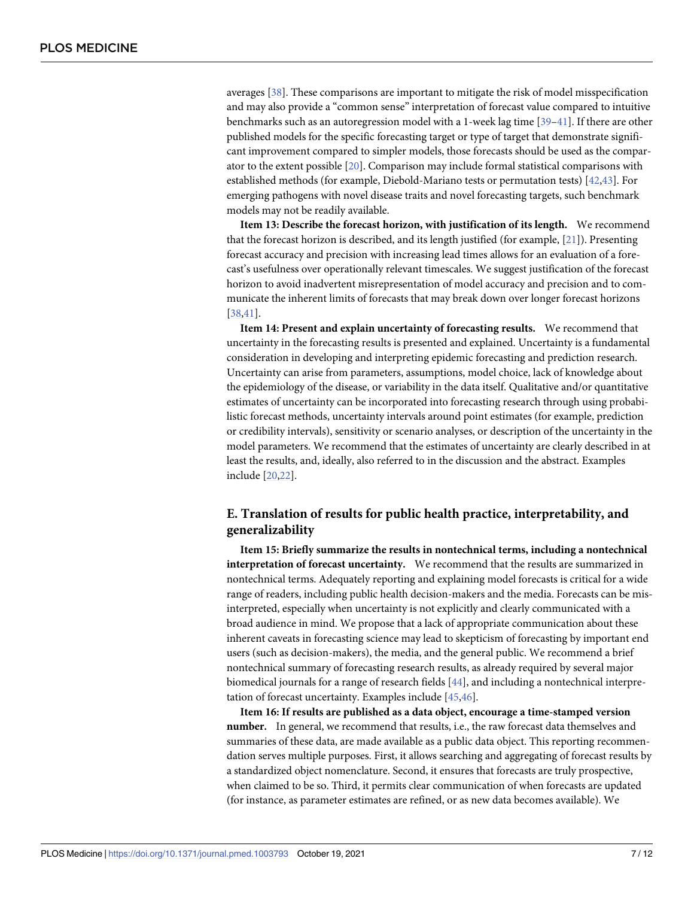<span id="page-6-0"></span>averages [\[38\]](#page-11-0). These comparisons are important to mitigate the risk of model misspecification and may also provide a "common sense" interpretation of forecast value compared to intuitive benchmarks such as an autoregression model with a 1-week lag time [\[39](#page-11-0)–[41](#page-11-0)]. If there are other published models for the specific forecasting target or type of target that demonstrate significant improvement compared to simpler models, those forecasts should be used as the comparator to the extent possible [[20\]](#page-10-0). Comparison may include formal statistical comparisons with established methods (for example, Diebold-Mariano tests or permutation tests) [[42,43\]](#page-11-0). For emerging pathogens with novel disease traits and novel forecasting targets, such benchmark models may not be readily available.

**Item 13: Describe the forecast horizon, with justification of its length.** We recommend that the forecast horizon is described, and its length justified (for example, [\[21\]](#page-10-0)). Presenting forecast accuracy and precision with increasing lead times allows for an evaluation of a forecast's usefulness over operationally relevant timescales. We suggest justification of the forecast horizon to avoid inadvertent misrepresentation of model accuracy and precision and to communicate the inherent limits of forecasts that may break down over longer forecast horizons [\[38,41\]](#page-11-0).

**Item 14: Present and explain uncertainty of forecasting results.** We recommend that uncertainty in the forecasting results is presented and explained. Uncertainty is a fundamental consideration in developing and interpreting epidemic forecasting and prediction research. Uncertainty can arise from parameters, assumptions, model choice, lack of knowledge about the epidemiology of the disease, or variability in the data itself. Qualitative and/or quantitative estimates of uncertainty can be incorporated into forecasting research through using probabilistic forecast methods, uncertainty intervals around point estimates (for example, prediction or credibility intervals), sensitivity or scenario analyses, or description of the uncertainty in the model parameters. We recommend that the estimates of uncertainty are clearly described in at least the results, and, ideally, also referred to in the discussion and the abstract. Examples include [\[20,22\]](#page-10-0).

## **E. Translation of results for public health practice, interpretability, and generalizability**

**Item 15: Briefly summarize the results in nontechnical terms, including a nontechnical interpretation of forecast uncertainty.** We recommend that the results are summarized in nontechnical terms. Adequately reporting and explaining model forecasts is critical for a wide range of readers, including public health decision-makers and the media. Forecasts can be misinterpreted, especially when uncertainty is not explicitly and clearly communicated with a broad audience in mind. We propose that a lack of appropriate communication about these inherent caveats in forecasting science may lead to skepticism of forecasting by important end users (such as decision-makers), the media, and the general public. We recommend a brief nontechnical summary of forecasting research results, as already required by several major biomedical journals for a range of research fields [[44](#page-11-0)], and including a nontechnical interpretation of forecast uncertainty. Examples include [\[45,46\]](#page-11-0).

**Item 16: If results are published as a data object, encourage a time-stamped version number.** In general, we recommend that results, i.e., the raw forecast data themselves and summaries of these data, are made available as a public data object. This reporting recommendation serves multiple purposes. First, it allows searching and aggregating of forecast results by a standardized object nomenclature. Second, it ensures that forecasts are truly prospective, when claimed to be so. Third, it permits clear communication of when forecasts are updated (for instance, as parameter estimates are refined, or as new data becomes available). We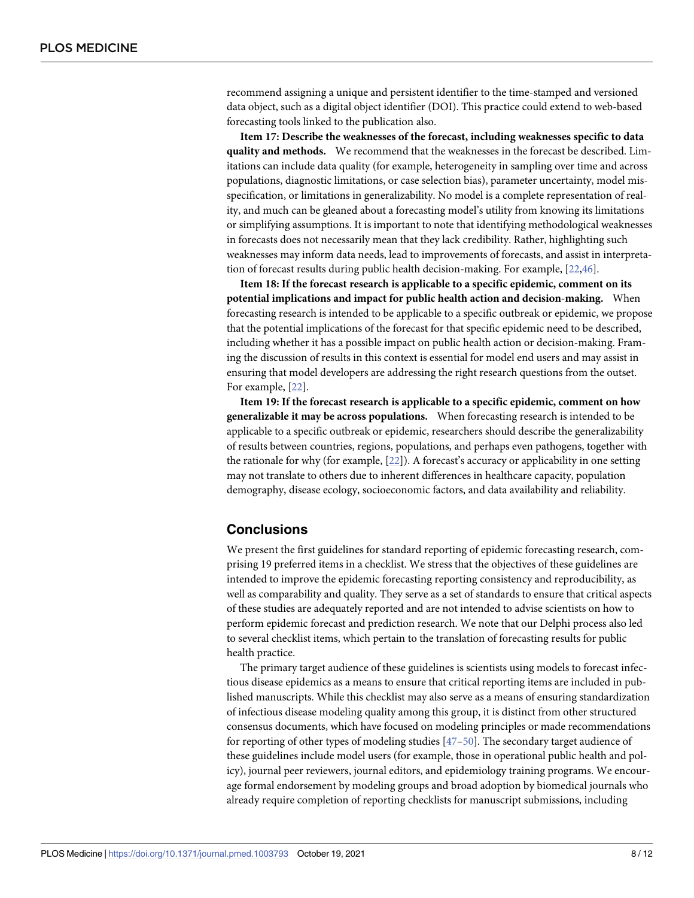<span id="page-7-0"></span>recommend assigning a unique and persistent identifier to the time-stamped and versioned data object, such as a digital object identifier (DOI). This practice could extend to web-based forecasting tools linked to the publication also.

**Item 17: Describe the weaknesses of the forecast, including weaknesses specific to data quality and methods.** We recommend that the weaknesses in the forecast be described. Limitations can include data quality (for example, heterogeneity in sampling over time and across populations, diagnostic limitations, or case selection bias), parameter uncertainty, model misspecification, or limitations in generalizability. No model is a complete representation of reality, and much can be gleaned about a forecasting model's utility from knowing its limitations or simplifying assumptions. It is important to note that identifying methodological weaknesses in forecasts does not necessarily mean that they lack credibility. Rather, highlighting such weaknesses may inform data needs, lead to improvements of forecasts, and assist in interpretation of forecast results during public health decision-making. For example, [[22](#page-10-0),[46](#page-11-0)].

**Item 18: If the forecast research is applicable to a specific epidemic, comment on its potential implications and impact for public health action and decision-making.** When forecasting research is intended to be applicable to a specific outbreak or epidemic, we propose that the potential implications of the forecast for that specific epidemic need to be described, including whether it has a possible impact on public health action or decision-making. Framing the discussion of results in this context is essential for model end users and may assist in ensuring that model developers are addressing the right research questions from the outset. For example, [\[22\]](#page-10-0).

**Item 19: If the forecast research is applicable to a specific epidemic, comment on how generalizable it may be across populations.** When forecasting research is intended to be applicable to a specific outbreak or epidemic, researchers should describe the generalizability of results between countries, regions, populations, and perhaps even pathogens, together with the rationale for why (for example, [\[22\]](#page-10-0)). A forecast's accuracy or applicability in one setting may not translate to others due to inherent differences in healthcare capacity, population demography, disease ecology, socioeconomic factors, and data availability and reliability.

## **Conclusions**

We present the first guidelines for standard reporting of epidemic forecasting research, comprising 19 preferred items in a checklist. We stress that the objectives of these guidelines are intended to improve the epidemic forecasting reporting consistency and reproducibility, as well as comparability and quality. They serve as a set of standards to ensure that critical aspects of these studies are adequately reported and are not intended to advise scientists on how to perform epidemic forecast and prediction research. We note that our Delphi process also led to several checklist items, which pertain to the translation of forecasting results for public health practice.

The primary target audience of these guidelines is scientists using models to forecast infectious disease epidemics as a means to ensure that critical reporting items are included in published manuscripts. While this checklist may also serve as a means of ensuring standardization of infectious disease modeling quality among this group, it is distinct from other structured consensus documents, which have focused on modeling principles or made recommendations for reporting of other types of modeling studies [[47–50\]](#page-11-0). The secondary target audience of these guidelines include model users (for example, those in operational public health and policy), journal peer reviewers, journal editors, and epidemiology training programs. We encourage formal endorsement by modeling groups and broad adoption by biomedical journals who already require completion of reporting checklists for manuscript submissions, including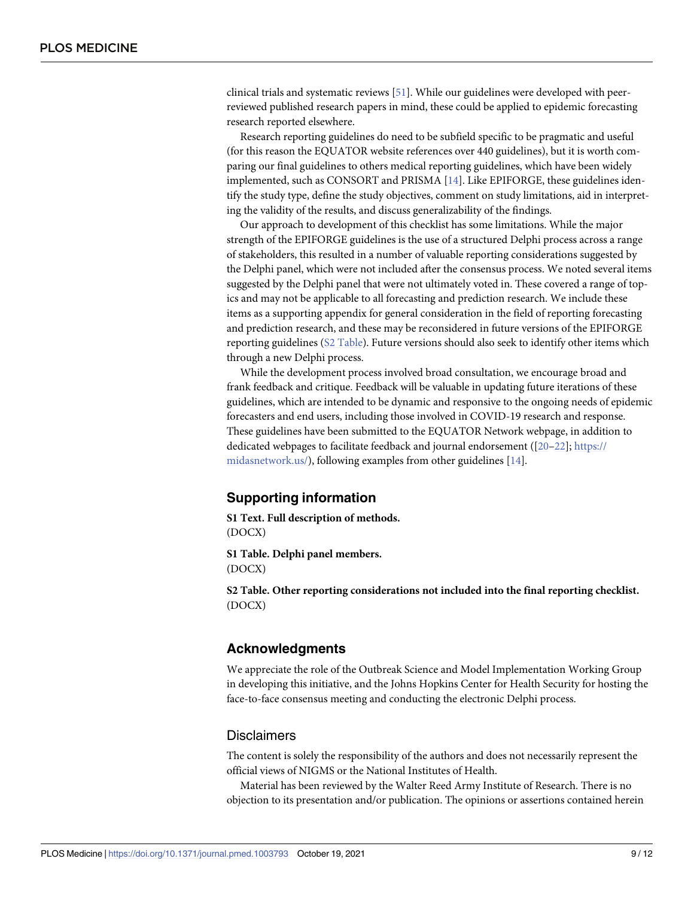<span id="page-8-0"></span>clinical trials and systematic reviews [\[51\]](#page-11-0). While our guidelines were developed with peerreviewed published research papers in mind, these could be applied to epidemic forecasting research reported elsewhere.

Research reporting guidelines do need to be subfield specific to be pragmatic and useful (for this reason the EQUATOR website references over 440 guidelines), but it is worth comparing our final guidelines to others medical reporting guidelines, which have been widely implemented, such as CONSORT and PRISMA [\[14\]](#page-9-0). Like EPIFORGE, these guidelines identify the study type, define the study objectives, comment on study limitations, aid in interpreting the validity of the results, and discuss generalizability of the findings.

Our approach to development of this checklist has some limitations. While the major strength of the EPIFORGE guidelines is the use of a structured Delphi process across a range of stakeholders, this resulted in a number of valuable reporting considerations suggested by the Delphi panel, which were not included after the consensus process. We noted several items suggested by the Delphi panel that were not ultimately voted in. These covered a range of topics and may not be applicable to all forecasting and prediction research. We include these items as a supporting appendix for general consideration in the field of reporting forecasting and prediction research, and these may be reconsidered in future versions of the EPIFORGE reporting guidelines (S2 Table). Future versions should also seek to identify other items which through a new Delphi process.

While the development process involved broad consultation, we encourage broad and frank feedback and critique. Feedback will be valuable in updating future iterations of these guidelines, which are intended to be dynamic and responsive to the ongoing needs of epidemic forecasters and end users, including those involved in COVID-19 research and response. These guidelines have been submitted to the EQUATOR Network webpage, in addition to dedicated webpages to facilitate feedback and journal endorsement ([[20–22\]](#page-10-0); [https://](https://midasnetwork.us/) [midasnetwork.us/\)](https://midasnetwork.us/), following examples from other guidelines [\[14\]](#page-9-0).

## **Supporting information**

**S1 [Text](http://journals.plos.org/plosmedicine/article/asset?unique&id=info:doi/10.1371/journal.pmed.1003793.s001). Full description of methods.** (DOCX)

**S1 [Table.](http://journals.plos.org/plosmedicine/article/asset?unique&id=info:doi/10.1371/journal.pmed.1003793.s002) Delphi panel members.** (DOCX)

**S2 [Table.](http://journals.plos.org/plosmedicine/article/asset?unique&id=info:doi/10.1371/journal.pmed.1003793.s003) Other reporting considerations not included into the final reporting checklist.** (DOCX)

## **Acknowledgments**

We appreciate the role of the Outbreak Science and Model Implementation Working Group in developing this initiative, and the Johns Hopkins Center for Health Security for hosting the face-to-face consensus meeting and conducting the electronic Delphi process.

#### **Disclaimers**

The content is solely the responsibility of the authors and does not necessarily represent the official views of NIGMS or the National Institutes of Health.

Material has been reviewed by the Walter Reed Army Institute of Research. There is no objection to its presentation and/or publication. The opinions or assertions contained herein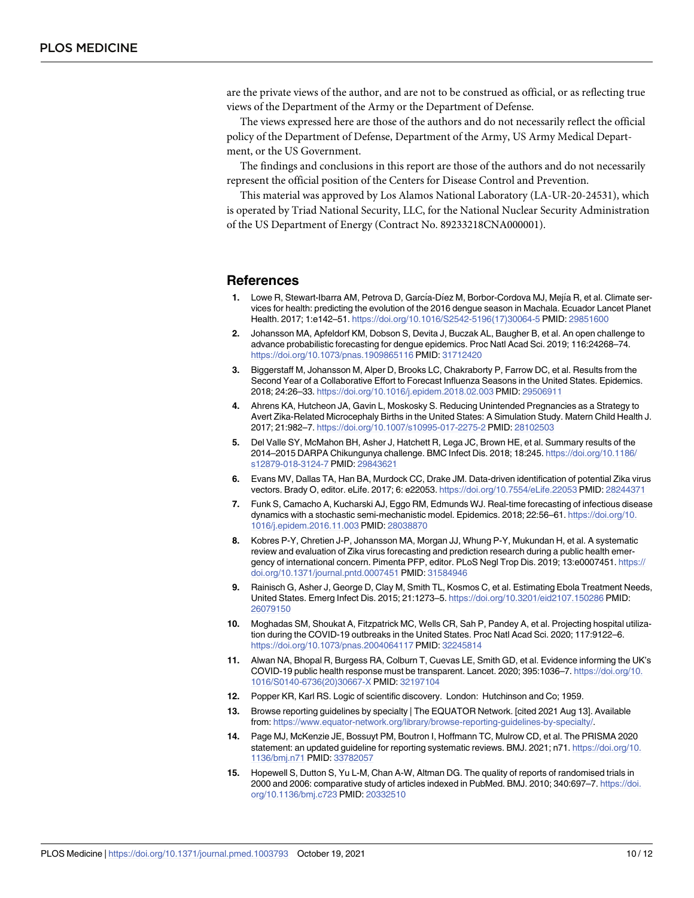<span id="page-9-0"></span>are the private views of the author, and are not to be construed as official, or as reflecting true views of the Department of the Army or the Department of Defense.

The views expressed here are those of the authors and do not necessarily reflect the official policy of the Department of Defense, Department of the Army, US Army Medical Department, or the US Government.

The findings and conclusions in this report are those of the authors and do not necessarily represent the official position of the Centers for Disease Control and Prevention.

This material was approved by Los Alamos National Laboratory (LA-UR-20-24531), which is operated by Triad National Security, LLC, for the National Nuclear Security Administration of the US Department of Energy (Contract No. 89233218CNA000001).

#### **References**

- **[1](#page-1-0).** Lowe R, Stewart-Ibarra AM, Petrova D, García-Díez M, Borbor-Cordova MJ, Mejía R, et al. Climate services for health: predicting the evolution of the 2016 dengue season in Machala. Ecuador Lancet Planet Health. 2017; 1:e142–51. [https://doi.org/10.1016/S2542-5196\(17\)30064-5](https://doi.org/10.1016/S2542-5196%2817%2930064-5) PMID: [29851600](http://www.ncbi.nlm.nih.gov/pubmed/29851600)
- **[2](#page-5-0).** Johansson MA, Apfeldorf KM, Dobson S, Devita J, Buczak AL, Baugher B, et al. An open challenge to advance probabilistic forecasting for dengue epidemics. Proc Natl Acad Sci. 2019; 116:24268–74. <https://doi.org/10.1073/pnas.1909865116> PMID: [31712420](http://www.ncbi.nlm.nih.gov/pubmed/31712420)
- **[3](#page-1-0).** Biggerstaff M, Johansson M, Alper D, Brooks LC, Chakraborty P, Farrow DC, et al. Results from the Second Year of a Collaborative Effort to Forecast Influenza Seasons in the United States. Epidemics. 2018; 24:26–33. <https://doi.org/10.1016/j.epidem.2018.02.003> PMID: [29506911](http://www.ncbi.nlm.nih.gov/pubmed/29506911)
- **[4](#page-1-0).** Ahrens KA, Hutcheon JA, Gavin L, Moskosky S. Reducing Unintended Pregnancies as a Strategy to Avert Zika-Related Microcephaly Births in the United States: A Simulation Study. Matern Child Health J. 2017; 21:982–7. <https://doi.org/10.1007/s10995-017-2275-2> PMID: [28102503](http://www.ncbi.nlm.nih.gov/pubmed/28102503)
- **[5](#page-5-0).** Del Valle SY, McMahon BH, Asher J, Hatchett R, Lega JC, Brown HE, et al. Summary results of the 2014–2015 DARPA Chikungunya challenge. BMC Infect Dis. 2018; 18:245. [https://doi.org/10.1186/](https://doi.org/10.1186/s12879-018-3124-7) [s12879-018-3124-7](https://doi.org/10.1186/s12879-018-3124-7) PMID: [29843621](http://www.ncbi.nlm.nih.gov/pubmed/29843621)
- **[6](#page-4-0).** Evans MV, Dallas TA, Han BA, Murdock CC, Drake JM. Data-driven identification of potential Zika virus vectors. Brady O, editor. eLife. 2017; 6: e22053. <https://doi.org/10.7554/eLife.22053> PMID: [28244371](http://www.ncbi.nlm.nih.gov/pubmed/28244371)
- **[7](#page-5-0).** Funk S, Camacho A, Kucharski AJ, Eggo RM, Edmunds WJ. Real-time forecasting of infectious disease dynamics with a stochastic semi-mechanistic model. Epidemics. 2018; 22:56–61. [https://doi.org/10.](https://doi.org/10.1016/j.epidem.2016.11.003) [1016/j.epidem.2016.11.003](https://doi.org/10.1016/j.epidem.2016.11.003) PMID: [28038870](http://www.ncbi.nlm.nih.gov/pubmed/28038870)
- **[8](#page-1-0).** Kobres P-Y, Chretien J-P, Johansson MA, Morgan JJ, Whung P-Y, Mukundan H, et al. A systematic review and evaluation of Zika virus forecasting and prediction research during a public health emergency of international concern. Pimenta PFP, editor. PLoS Negl Trop Dis. 2019; 13:e0007451. [https://](https://doi.org/10.1371/journal.pntd.0007451) [doi.org/10.1371/journal.pntd.0007451](https://doi.org/10.1371/journal.pntd.0007451) PMID: [31584946](http://www.ncbi.nlm.nih.gov/pubmed/31584946)
- **[9](#page-1-0).** Rainisch G, Asher J, George D, Clay M, Smith TL, Kosmos C, et al. Estimating Ebola Treatment Needs, United States. Emerg Infect Dis. 2015; 21:1273–5. <https://doi.org/10.3201/eid2107.150286> PMID: [26079150](http://www.ncbi.nlm.nih.gov/pubmed/26079150)
- **[10](#page-1-0).** Moghadas SM, Shoukat A, Fitzpatrick MC, Wells CR, Sah P, Pandey A, et al. Projecting hospital utilization during the COVID-19 outbreaks in the United States. Proc Natl Acad Sci. 2020; 117:9122–6. <https://doi.org/10.1073/pnas.2004064117> PMID: [32245814](http://www.ncbi.nlm.nih.gov/pubmed/32245814)
- **[11](#page-1-0).** Alwan NA, Bhopal R, Burgess RA, Colburn T, Cuevas LE, Smith GD, et al. Evidence informing the UK's COVID-19 public health response must be transparent. Lancet. 2020; 395:1036–7. [https://doi.org/10.](https://doi.org/10.1016/S0140-6736%2820%2930667-X) [1016/S0140-6736\(20\)30667-X](https://doi.org/10.1016/S0140-6736%2820%2930667-X) PMID: [32197104](http://www.ncbi.nlm.nih.gov/pubmed/32197104)
- **[12](#page-1-0).** Popper KR, Karl RS. Logic of scientific discovery. London: Hutchinson and Co; 1959.
- **[13](#page-1-0).** Browse reporting guidelines by specialty | The EQUATOR Network. [cited 2021 Aug 13]. Available from: <https://www.equator-network.org/library/browse-reporting-guidelines-by-specialty/>.
- **[14](#page-1-0).** Page MJ, McKenzie JE, Bossuyt PM, Boutron I, Hoffmann TC, Mulrow CD, et al. The PRISMA 2020 statement: an updated guideline for reporting systematic reviews. BMJ. 2021; n71. [https://doi.org/10.](https://doi.org/10.1136/bmj.n71) [1136/bmj.n71](https://doi.org/10.1136/bmj.n71) PMID: [33782057](http://www.ncbi.nlm.nih.gov/pubmed/33782057)
- **[15](#page-1-0).** Hopewell S, Dutton S, Yu L-M, Chan A-W, Altman DG. The quality of reports of randomised trials in 2000 and 2006: comparative study of articles indexed in PubMed. BMJ. 2010; 340:697–7. [https://doi.](https://doi.org/10.1136/bmj.c723) [org/10.1136/bmj.c723](https://doi.org/10.1136/bmj.c723) PMID: [20332510](http://www.ncbi.nlm.nih.gov/pubmed/20332510)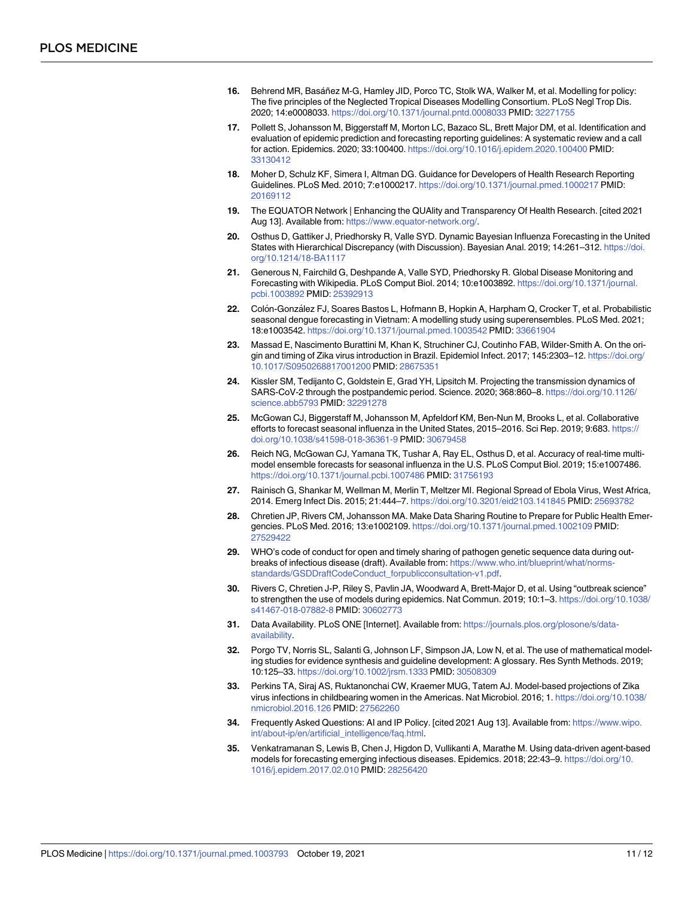- <span id="page-10-0"></span>**[16](#page-1-0).** Behrend MR, Basáñez M-G, Hamley JID, Porco TC, Stolk WA, Walker M, et al. Modelling for policy: The five principles of the Neglected Tropical Diseases Modelling Consortium. PLoS Negl Trop Dis. 2020; 14:e0008033. <https://doi.org/10.1371/journal.pntd.0008033> PMID: [32271755](http://www.ncbi.nlm.nih.gov/pubmed/32271755)
- **[17](#page-1-0).** Pollett S, Johansson M, Biggerstaff M, Morton LC, Bazaco SL, Brett Major DM, et al. Identification and evaluation of epidemic prediction and forecasting reporting guidelines: A systematic review and a call for action. Epidemics. 2020; 33:100400. <https://doi.org/10.1016/j.epidem.2020.100400> PMID: [33130412](http://www.ncbi.nlm.nih.gov/pubmed/33130412)
- **[18](#page-2-0).** Moher D, Schulz KF, Simera I, Altman DG. Guidance for Developers of Health Research Reporting Guidelines. PLoS Med. 2010; 7:e1000217. <https://doi.org/10.1371/journal.pmed.1000217> PMID: [20169112](http://www.ncbi.nlm.nih.gov/pubmed/20169112)
- **[19](#page-2-0).** The EQUATOR Network | Enhancing the QUAlity and Transparency Of Health Research. [cited 2021 Aug 13]. Available from: <https://www.equator-network.org/>.
- **[20](#page-2-0).** Osthus D, Gattiker J, Priedhorsky R, Valle SYD. Dynamic Bayesian Influenza Forecasting in the United States with Hierarchical Discrepancy (with Discussion). Bayesian Anal. 2019; 14:261–312. [https://doi.](https://doi.org/10.1214/18-BA1117) [org/10.1214/18-BA1117](https://doi.org/10.1214/18-BA1117)
- **[21](#page-4-0).** Generous N, Fairchild G, Deshpande A, Valle SYD, Priedhorsky R. Global Disease Monitoring and Forecasting with Wikipedia. PLoS Comput Biol. 2014; 10:e1003892. [https://doi.org/10.1371/journal.](https://doi.org/10.1371/journal.pcbi.1003892) [pcbi.1003892](https://doi.org/10.1371/journal.pcbi.1003892) PMID: [25392913](http://www.ncbi.nlm.nih.gov/pubmed/25392913)
- **[22](#page-2-0).** Colo´n-Gonza´lez FJ, Soares Bastos L, Hofmann B, Hopkin A, Harpham Q, Crocker T, et al. Probabilistic seasonal dengue forecasting in Vietnam: A modelling study using superensembles. PLoS Med. 2021; 18:e1003542. <https://doi.org/10.1371/journal.pmed.1003542> PMID: [33661904](http://www.ncbi.nlm.nih.gov/pubmed/33661904)
- **[23](#page-3-0).** Massad E, Nascimento Burattini M, Khan K, Struchiner CJ, Coutinho FAB, Wilder-Smith A. On the origin and timing of Zika virus introduction in Brazil. Epidemiol Infect. 2017; 145:2303–12. [https://doi.org/](https://doi.org/10.1017/S0950268817001200) [10.1017/S0950268817001200](https://doi.org/10.1017/S0950268817001200) PMID: [28675351](http://www.ncbi.nlm.nih.gov/pubmed/28675351)
- **[24](#page-3-0).** Kissler SM, Tedijanto C, Goldstein E, Grad YH, Lipsitch M. Projecting the transmission dynamics of SARS-CoV-2 through the postpandemic period. Science. 2020; 368:860–8. [https://doi.org/10.1126/](https://doi.org/10.1126/science.abb5793) [science.abb5793](https://doi.org/10.1126/science.abb5793) PMID: [32291278](http://www.ncbi.nlm.nih.gov/pubmed/32291278)
- **[25](#page-4-0).** McGowan CJ, Biggerstaff M, Johansson M, Apfeldorf KM, Ben-Nun M, Brooks L, et al. Collaborative efforts to forecast seasonal influenza in the United States, 2015–2016. Sci Rep. 2019; 9:683. [https://](https://doi.org/10.1038/s41598-018-36361-9) [doi.org/10.1038/s41598-018-36361-9](https://doi.org/10.1038/s41598-018-36361-9) PMID: [30679458](http://www.ncbi.nlm.nih.gov/pubmed/30679458)
- **[26](#page-4-0).** Reich NG, McGowan CJ, Yamana TK, Tushar A, Ray EL, Osthus D, et al. Accuracy of real-time multimodel ensemble forecasts for seasonal influenza in the U.S. PLoS Comput Biol. 2019; 15:e1007486. <https://doi.org/10.1371/journal.pcbi.1007486> PMID: [31756193](http://www.ncbi.nlm.nih.gov/pubmed/31756193)
- **[27](#page-4-0).** Rainisch G, Shankar M, Wellman M, Merlin T, Meltzer MI. Regional Spread of Ebola Virus, West Africa, 2014. Emerg Infect Dis. 2015; 21:444–7. <https://doi.org/10.3201/eid2103.141845> PMID: [25693782](http://www.ncbi.nlm.nih.gov/pubmed/25693782)
- **[28](#page-4-0).** Chretien JP, Rivers CM, Johansson MA. Make Data Sharing Routine to Prepare for Public Health Emergencies. PLoS Med. 2016; 13:e1002109. <https://doi.org/10.1371/journal.pmed.1002109> PMID: [27529422](http://www.ncbi.nlm.nih.gov/pubmed/27529422)
- **[29](#page-4-0).** WHO's code of conduct for open and timely sharing of pathogen genetic sequence data during outbreaks of infectious disease (draft). Available from: [https://www.who.int/blueprint/what/norms](https://www.who.int/blueprint/what/norms-standards/GSDDraftCodeConduct_forpublicconsultation-v1.pdf)[standards/GSDDraftCodeConduct\\_forpublicconsultation-v1.pdf.](https://www.who.int/blueprint/what/norms-standards/GSDDraftCodeConduct_forpublicconsultation-v1.pdf)
- **[30](#page-4-0).** Rivers C, Chretien J-P, Riley S, Pavlin JA, Woodward A, Brett-Major D, et al. Using "outbreak science" to strengthen the use of models during epidemics. Nat Commun. 2019; 10:1–3. [https://doi.org/10.1038/](https://doi.org/10.1038/s41467-018-07882-8) [s41467-018-07882-8](https://doi.org/10.1038/s41467-018-07882-8) PMID: [30602773](http://www.ncbi.nlm.nih.gov/pubmed/30602773)
- **[31](#page-4-0).** Data Availability. PLoS ONE [Internet]. Available from: [https://journals.plos.org/plosone/s/data](https://journals.plos.org/plosone/s/data-availability)[availability.](https://journals.plos.org/plosone/s/data-availability)
- **[32](#page-5-0).** Porgo TV, Norris SL, Salanti G, Johnson LF, Simpson JA, Low N, et al. The use of mathematical modeling studies for evidence synthesis and guideline development: A glossary. Res Synth Methods. 2019; 10:125–33. <https://doi.org/10.1002/jrsm.1333> PMID: [30508309](http://www.ncbi.nlm.nih.gov/pubmed/30508309)
- **[33](#page-5-0).** Perkins TA, Siraj AS, Ruktanonchai CW, Kraemer MUG, Tatem AJ. Model-based projections of Zika virus infections in childbearing women in the Americas. Nat Microbiol. 2016; 1. [https://doi.org/10.1038/](https://doi.org/10.1038/nmicrobiol.2016.126) [nmicrobiol.2016.126](https://doi.org/10.1038/nmicrobiol.2016.126) PMID: [27562260](http://www.ncbi.nlm.nih.gov/pubmed/27562260)
- **[34](#page-5-0).** Frequently Asked Questions: AI and IP Policy. [cited 2021 Aug 13]. Available from: [https://www.wipo.](https://www.wipo.int/about-ip/en/artificial_intelligence/faq.html) [int/about-ip/en/artificial\\_intelligence/faq.html.](https://www.wipo.int/about-ip/en/artificial_intelligence/faq.html)
- **[35](#page-5-0).** Venkatramanan S, Lewis B, Chen J, Higdon D, Vullikanti A, Marathe M. Using data-driven agent-based models for forecasting emerging infectious diseases. Epidemics. 2018; 22:43–9. [https://doi.org/10.](https://doi.org/10.1016/j.epidem.2017.02.010) [1016/j.epidem.2017.02.010](https://doi.org/10.1016/j.epidem.2017.02.010) PMID: [28256420](http://www.ncbi.nlm.nih.gov/pubmed/28256420)